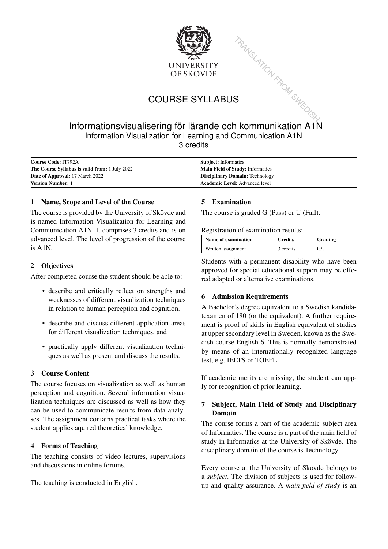

# COURSE SYLLABUS

# TRANSLATION FROM SWED Informationsvisualisering för lärande och kommunikation A1N Information Visualization for Learning and Communication A1N 3 credits

| <b>Course Code: IT792A</b>                            | <b>Subject:</b> Informatics             |  |
|-------------------------------------------------------|-----------------------------------------|--|
| <b>The Course Syllabus is valid from:</b> 1 July 2022 | <b>Main Field of Study: Informatics</b> |  |
| <b>Date of Approval:</b> 17 March 2022                | <b>Disciplinary Domain: Technology</b>  |  |
| <b>Version Number: 1</b>                              | <b>Academic Level:</b> Advanced level   |  |

#### 1 Name, Scope and Level of the Course

The course is provided by the University of Skövde and is named Information Visualization for Learning and Communication A1N. It comprises 3 credits and is on advanced level. The level of progression of the course is A1N.

#### 2 Objectives

After completed course the student should be able to:

- describe and critically reflect on strengths and weaknesses of different visualization techniques in relation to human perception and cognition.
- describe and discuss different application areas for different visualization techniques, and
- practically apply different visualization techniques as well as present and discuss the results.

#### 3 Course Content

The course focuses on visualization as well as human perception and cognition. Several information visualization techniques are discussed as well as how they can be used to communicate results from data analyses. The assignment contains practical tasks where the student applies aquired theoretical knowledge.

#### 4 Forms of Teaching

The teaching consists of video lectures, supervisions and discussions in online forums.

The teaching is conducted in English.

#### 5 Examination

The course is graded G (Pass) or U (Fail).

Registration of examination results:

| <b>Name of examination</b> | <b>Credits</b> | Grading |
|----------------------------|----------------|---------|
| Written assignment         | 3 credits      | G/U     |

Students with a permanent disability who have been approved for special educational support may be offered adapted or alternative examinations.

#### 6 Admission Requirements

A Bachelor's degree equivalent to a Swedish kandidatexamen of 180 (or the equivalent). A further requirement is proof of skills in English equivalent of studies at upper secondary level in Sweden, known as the Swedish course English 6. This is normally demonstrated by means of an internationally recognized language test, e.g. IELTS or TOEFL.

If academic merits are missing, the student can apply for recognition of prior learning.

## 7 Subject, Main Field of Study and Disciplinary Domain

The course forms a part of the academic subject area of Informatics. The course is a part of the main field of study in Informatics at the University of Skövde. The disciplinary domain of the course is Technology.

Every course at the University of Skövde belongs to a *subject*. The division of subjects is used for followup and quality assurance. A *main field of study* is an